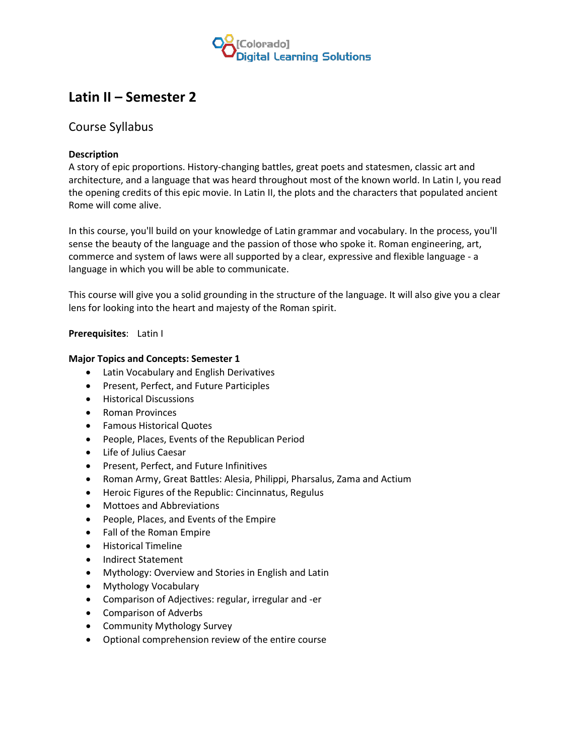

# **Latin II – Semester 2**

## Course Syllabus

### **Description**

A story of epic proportions. History-changing battles, great poets and statesmen, classic art and architecture, and a language that was heard throughout most of the known world. In Latin I, you read the opening credits of this epic movie. In Latin II, the plots and the characters that populated ancient Rome will come alive.

In this course, you'll build on your knowledge of Latin grammar and vocabulary. In the process, you'll sense the beauty of the language and the passion of those who spoke it. Roman engineering, art, commerce and system of laws were all supported by a clear, expressive and flexible language - a language in which you will be able to communicate.

This course will give you a solid grounding in the structure of the language. It will also give you a clear lens for looking into the heart and majesty of the Roman spirit.

### **Prerequisites**: Latin I

#### **Major Topics and Concepts: Semester 1**

- Latin Vocabulary and English Derivatives
- Present, Perfect, and Future Participles
- Historical Discussions
- Roman Provinces
- Famous Historical Quotes
- People, Places, Events of the Republican Period
- Life of Julius Caesar
- Present, Perfect, and Future Infinitives
- Roman Army, Great Battles: Alesia, Philippi, Pharsalus, Zama and Actium
- Heroic Figures of the Republic: Cincinnatus, Regulus
- Mottoes and Abbreviations
- People, Places, and Events of the Empire
- Fall of the Roman Empire
- Historical Timeline
- Indirect Statement
- Mythology: Overview and Stories in English and Latin
- Mythology Vocabulary
- Comparison of Adjectives: regular, irregular and -er
- Comparison of Adverbs
- Community Mythology Survey
- Optional comprehension review of the entire course